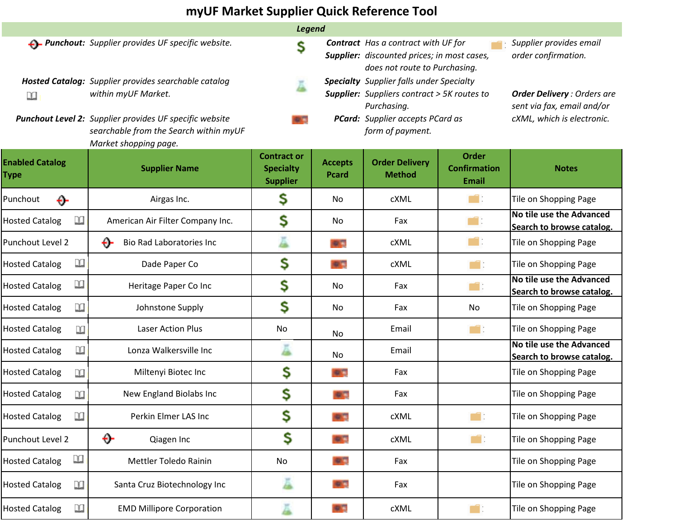## **myUF Market Supplier Quick Reference Tool**

| <b>Legend</b>                  |                                                                                                                                                                                                           |                                                                                                                                                                                     |                         |                                                                                                                            |                                                                                               |                                                       |  |  |  |  |
|--------------------------------|-----------------------------------------------------------------------------------------------------------------------------------------------------------------------------------------------------------|-------------------------------------------------------------------------------------------------------------------------------------------------------------------------------------|-------------------------|----------------------------------------------------------------------------------------------------------------------------|-----------------------------------------------------------------------------------------------|-------------------------------------------------------|--|--|--|--|
|                                | <b>-</b> > Punchout: Supplier provides UF specific website.                                                                                                                                               | S                                                                                                                                                                                   |                         | <b>Contract</b> Has a contract with UF for<br>Supplier: discounted prices; in most cases,<br>does not route to Purchasing. |                                                                                               | Supplier provides email<br>order confirmation.        |  |  |  |  |
| n                              | Hosted Catalog: Supplier provides searchable catalog<br>within myUF Market.<br>Punchout Level 2: Supplier provides UF specific website<br>searchable from the Search within myUF<br>Market shopping page. | <b>Specialty</b> Supplier falls under Specialty<br><b>Supplier:</b> Suppliers contract > 5K routes to<br>Purchasing.<br><b>PCard:</b> Supplier accepts PCard as<br>form of payment. |                         |                                                                                                                            | <b>Order Delivery: Orders are</b><br>sent via fax, email and/or<br>cXML, which is electronic. |                                                       |  |  |  |  |
| <b>Enabled Catalog</b><br>Type | <b>Supplier Name</b>                                                                                                                                                                                      | <b>Contract or</b><br><b>Specialty</b><br><b>Supplier</b>                                                                                                                           | <b>Accepts</b><br>Pcard | <b>Order Delivery</b><br><b>Method</b>                                                                                     | <b>Order</b><br><b>Confirmation</b><br><b>Email</b>                                           | <b>Notes</b>                                          |  |  |  |  |
| Punchout<br>↔                  | Airgas Inc.                                                                                                                                                                                               | s                                                                                                                                                                                   | No                      | cXML                                                                                                                       | mi i                                                                                          | Tile on Shopping Page                                 |  |  |  |  |
| n<br><b>Hosted Catalog</b>     | American Air Filter Company Inc.                                                                                                                                                                          | \$                                                                                                                                                                                  | No                      | Fax                                                                                                                        | mi :                                                                                          | No tile use the Advanced<br>Search to browse catalog. |  |  |  |  |
| Punchout Level 2               | ↔<br>Bio Rad Laboratories Inc                                                                                                                                                                             |                                                                                                                                                                                     |                         | cXML                                                                                                                       | mi :                                                                                          | Tile on Shopping Page                                 |  |  |  |  |
| n<br><b>Hosted Catalog</b>     | Dade Paper Co                                                                                                                                                                                             | \$                                                                                                                                                                                  |                         | cXML                                                                                                                       | m                                                                                             | Tile on Shopping Page                                 |  |  |  |  |
| m<br><b>Hosted Catalog</b>     | Heritage Paper Co Inc                                                                                                                                                                                     | \$                                                                                                                                                                                  | No                      | Fax                                                                                                                        | mid i                                                                                         | No tile use the Advanced<br>Search to browse catalog. |  |  |  |  |
| n<br><b>Hosted Catalog</b>     | Johnstone Supply                                                                                                                                                                                          | \$                                                                                                                                                                                  | No                      | Fax                                                                                                                        | No                                                                                            | Tile on Shopping Page                                 |  |  |  |  |
| <b>Hosted Catalog</b><br>Ľ     | <b>Laser Action Plus</b>                                                                                                                                                                                  | No                                                                                                                                                                                  | No                      | Email                                                                                                                      | m                                                                                             | Tile on Shopping Page                                 |  |  |  |  |
| n<br><b>Hosted Catalog</b>     | Lonza Walkersville Inc                                                                                                                                                                                    |                                                                                                                                                                                     | No                      | Email                                                                                                                      |                                                                                               | No tile use the Advanced<br>Search to browse catalog. |  |  |  |  |
| <b>Hosted Catalog</b><br>m     | Miltenyi Biotec Inc                                                                                                                                                                                       | \$                                                                                                                                                                                  |                         | Fax                                                                                                                        |                                                                                               | Tile on Shopping Page                                 |  |  |  |  |
| <b>Hosted Catalog</b><br>m     | New England Biolabs Inc                                                                                                                                                                                   | \$                                                                                                                                                                                  |                         | Fax                                                                                                                        |                                                                                               | Tile on Shopping Page                                 |  |  |  |  |
| <b>Hosted Catalog</b><br>m     | Perkin Elmer LAS Inc                                                                                                                                                                                      | \$                                                                                                                                                                                  |                         | cXML                                                                                                                       | mar i                                                                                         | Tile on Shopping Page                                 |  |  |  |  |
| Punchout Level 2               | ↔<br>Qiagen Inc                                                                                                                                                                                           | \$                                                                                                                                                                                  | o C                     | cXML                                                                                                                       | martin Sala                                                                                   | Tile on Shopping Page                                 |  |  |  |  |
| n<br><b>Hosted Catalog</b>     | Mettler Toledo Rainin                                                                                                                                                                                     | No                                                                                                                                                                                  | <b>OVER</b>             | Fax                                                                                                                        |                                                                                               | Tile on Shopping Page                                 |  |  |  |  |
| <b>Hosted Catalog</b><br>m     | Santa Cruz Biotechnology Inc                                                                                                                                                                              | ă                                                                                                                                                                                   |                         | Fax                                                                                                                        |                                                                                               | Tile on Shopping Page                                 |  |  |  |  |
| n<br><b>Hosted Catalog</b>     | <b>EMD Millipore Corporation</b>                                                                                                                                                                          |                                                                                                                                                                                     | 安宮                      | cXML                                                                                                                       | n i                                                                                           | Tile on Shopping Page                                 |  |  |  |  |